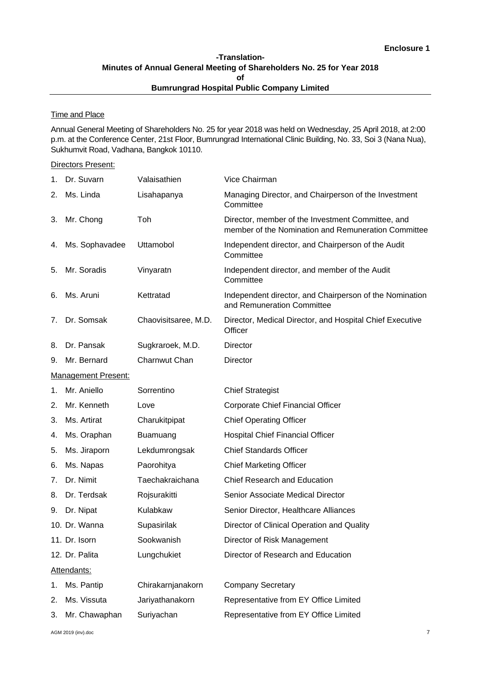# **-Translation-Minutes of Annual General Meeting of Shareholders No. 25 for Year 2018 of Bumrungrad Hospital Public Company Limited**

# **Time and Place**

Annual General Meeting of Shareholders No. 25 for year 2018 was held on Wednesday, 25 April 2018, at 2:00 p.m. at the Conference Center, 21st Floor, Bumrungrad International Clinic Building, No. 33, Soi 3 (Nana Nua), Sukhumvit Road, Vadhana, Bangkok 10110.

### Directors Present:

| 1. | Dr. Suvarn                 | Valaisathien         | Vice Chairman                                                                                            |
|----|----------------------------|----------------------|----------------------------------------------------------------------------------------------------------|
| 2. | Ms. Linda                  | Lisahapanya          | Managing Director, and Chairperson of the Investment<br>Committee                                        |
| 3. | Mr. Chong                  | Toh                  | Director, member of the Investment Committee, and<br>member of the Nomination and Remuneration Committee |
| 4. | Ms. Sophavadee             | Uttamobol            | Independent director, and Chairperson of the Audit<br>Committee                                          |
| 5. | Mr. Soradis                | Vinyaratn            | Independent director, and member of the Audit<br>Committee                                               |
| 6. | Ms. Aruni                  | Kettratad            | Independent director, and Chairperson of the Nomination<br>and Remuneration Committee                    |
| 7. | Dr. Somsak                 | Chaovisitsaree, M.D. | Director, Medical Director, and Hospital Chief Executive<br>Officer                                      |
| 8. | Dr. Pansak                 | Sugkraroek, M.D.     | Director                                                                                                 |
| 9. | Mr. Bernard                | Charnwut Chan        | <b>Director</b>                                                                                          |
|    | <b>Management Present:</b> |                      |                                                                                                          |
| 1. | Mr. Aniello                | Sorrentino           | <b>Chief Strategist</b>                                                                                  |
| 2. | Mr. Kenneth                | Love                 | Corporate Chief Financial Officer                                                                        |
| 3. | Ms. Artirat                | Charukitpipat        | <b>Chief Operating Officer</b>                                                                           |
| 4. | Ms. Oraphan                | Buamuang             | <b>Hospital Chief Financial Officer</b>                                                                  |
| 5. | Ms. Jiraporn               | Lekdumrongsak        | <b>Chief Standards Officer</b>                                                                           |
| 6. | Ms. Napas                  | Paorohitya           | <b>Chief Marketing Officer</b>                                                                           |
| 7. | Dr. Nimit                  | Taechakraichana      | <b>Chief Research and Education</b>                                                                      |
| 8. | Dr. Terdsak                | Rojsurakitti         | Senior Associate Medical Director                                                                        |
| 9. | Dr. Nipat                  | Kulabkaw             | Senior Director, Healthcare Alliances                                                                    |
|    | 10. Dr. Wanna              | Supasirilak          | Director of Clinical Operation and Quality                                                               |
|    | 11. Dr. Isorn              | Sookwanish           | Director of Risk Management                                                                              |
|    | 12. Dr. Palita             | Lungchukiet          | Director of Research and Education                                                                       |
|    | Attendants:                |                      |                                                                                                          |
| 1. | Ms. Pantip                 | Chirakarnjanakorn    | <b>Company Secretary</b>                                                                                 |
| 2. | Ms. Vissuta                | Jariyathanakorn      | Representative from EY Office Limited                                                                    |
| 3. | Mr. Chawaphan              | Suriyachan           | Representative from EY Office Limited                                                                    |

AGM 2019 (inv).doc 7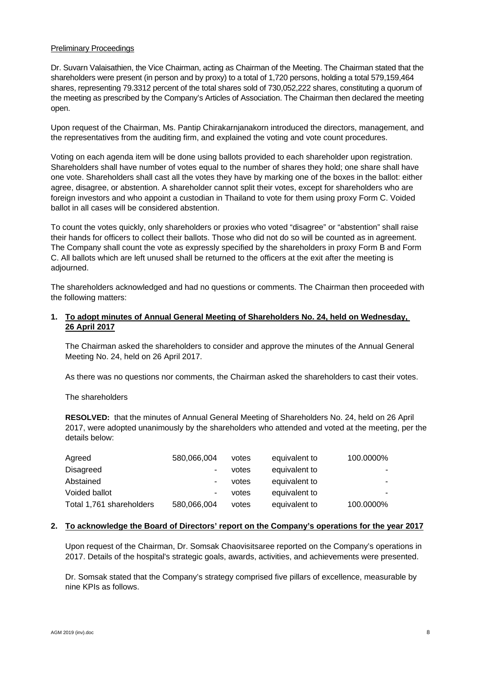### Preliminary Proceedings

Dr. Suvarn Valaisathien, the Vice Chairman, acting as Chairman of the Meeting. The Chairman stated that the shareholders were present (in person and by proxy) to a total of 1,720 persons, holding a total 579,159,464 shares, representing 79.3312 percent of the total shares sold of 730,052,222 shares, constituting a quorum of the meeting as prescribed by the Company's Articles of Association. The Chairman then declared the meeting open.

Upon request of the Chairman, Ms. Pantip Chirakarnjanakorn introduced the directors, management, and the representatives from the auditing firm, and explained the voting and vote count procedures.

Voting on each agenda item will be done using ballots provided to each shareholder upon registration. Shareholders shall have number of votes equal to the number of shares they hold; one share shall have one vote. Shareholders shall cast all the votes they have by marking one of the boxes in the ballot: either agree, disagree, or abstention. A shareholder cannot split their votes, except for shareholders who are foreign investors and who appoint a custodian in Thailand to vote for them using proxy Form C. Voided ballot in all cases will be considered abstention.

To count the votes quickly, only shareholders or proxies who voted "disagree" or "abstention" shall raise their hands for officers to collect their ballots. Those who did not do so will be counted as in agreement. The Company shall count the vote as expressly specified by the shareholders in proxy Form B and Form C. All ballots which are left unused shall be returned to the officers at the exit after the meeting is adjourned.

The shareholders acknowledged and had no questions or comments. The Chairman then proceeded with the following matters:

### **1. To adopt minutes of Annual General Meeting of Shareholders No. 24, held on Wednesday, 26 April 2017**

The Chairman asked the shareholders to consider and approve the minutes of the Annual General Meeting No. 24, held on 26 April 2017.

As there was no questions nor comments, the Chairman asked the shareholders to cast their votes.

The shareholders

**RESOLVED:** that the minutes of Annual General Meeting of Shareholders No. 24, held on 26 April 2017, were adopted unanimously by the shareholders who attended and voted at the meeting, per the details below:

| Agreed                   | 580,066,004 | votes | equivalent to | 100.0000% |
|--------------------------|-------------|-------|---------------|-----------|
| Disagreed                | ٠           | votes | equivalent to |           |
| Abstained                | ٠           | votes | equivalent to | -         |
| Voided ballot            | ٠           | votes | equivalent to |           |
| Total 1,761 shareholders | 580,066,004 | votes | equivalent to | 100.0000% |

#### **2. To acknowledge the Board of Directors' report on the Company's operations for the year 2017**

Upon request of the Chairman, Dr. Somsak Chaovisitsaree reported on the Company's operations in 2017. Details of the hospital's strategic goals, awards, activities, and achievements were presented.

Dr. Somsak stated that the Company's strategy comprised five pillars of excellence, measurable by nine KPIs as follows.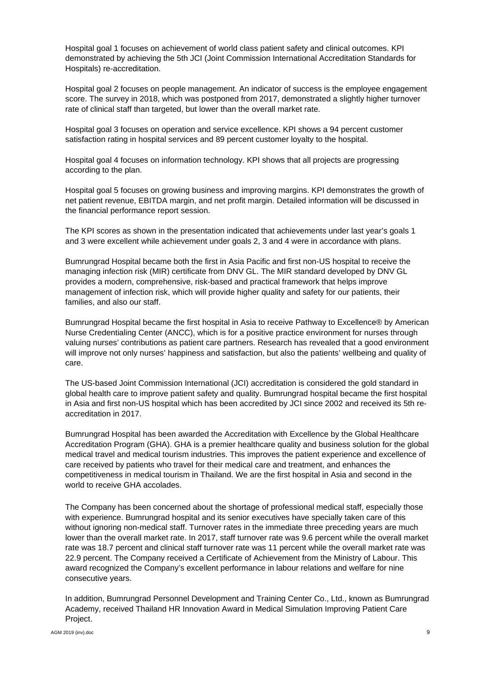Hospital goal 1 focuses on achievement of world class patient safety and clinical outcomes. KPI demonstrated by achieving the 5th JCI (Joint Commission International Accreditation Standards for Hospitals) re-accreditation.

Hospital goal 2 focuses on people management. An indicator of success is the employee engagement score. The survey in 2018, which was postponed from 2017, demonstrated a slightly higher turnover rate of clinical staff than targeted, but lower than the overall market rate.

Hospital goal 3 focuses on operation and service excellence. KPI shows a 94 percent customer satisfaction rating in hospital services and 89 percent customer loyalty to the hospital.

Hospital goal 4 focuses on information technology. KPI shows that all projects are progressing according to the plan.

Hospital goal 5 focuses on growing business and improving margins. KPI demonstrates the growth of net patient revenue, EBITDA margin, and net profit margin. Detailed information will be discussed in the financial performance report session.

The KPI scores as shown in the presentation indicated that achievements under last year's goals 1 and 3 were excellent while achievement under goals 2, 3 and 4 were in accordance with plans.

Bumrungrad Hospital became both the first in Asia Pacific and first non-US hospital to receive the managing infection risk (MIR) certificate from DNV GL. The MIR standard developed by DNV GL provides a modern, comprehensive, risk-based and practical framework that helps improve management of infection risk, which will provide higher quality and safety for our patients, their families, and also our staff.

Bumrungrad Hospital became the first hospital in Asia to receive Pathway to Excellence® by American Nurse Credentialing Center (ANCC), which is for a positive practice environment for nurses through valuing nurses' contributions as patient care partners. Research has revealed that a good environment will improve not only nurses' happiness and satisfaction, but also the patients' wellbeing and quality of care.

The US-based Joint Commission International (JCI) accreditation is considered the gold standard in global health care to improve patient safety and quality. Bumrungrad hospital became the first hospital in Asia and first non-US hospital which has been accredited by JCI since 2002 and received its 5th reaccreditation in 2017.

Bumrungrad Hospital has been awarded the Accreditation with Excellence by the Global Healthcare Accreditation Program (GHA). GHA is a premier healthcare quality and business solution for the global medical travel and medical tourism industries. This improves the patient experience and excellence of care received by patients who travel for their medical care and treatment, and enhances the competitiveness in medical tourism in Thailand. We are the first hospital in Asia and second in the world to receive GHA accolades.

The Company has been concerned about the shortage of professional medical staff, especially those with experience. Bumrungrad hospital and its senior executives have specially taken care of this without ignoring non-medical staff. Turnover rates in the immediate three preceding years are much lower than the overall market rate. In 2017, staff turnover rate was 9.6 percent while the overall market rate was 18.7 percent and clinical staff turnover rate was 11 percent while the overall market rate was 22.9 percent. The Company received a Certificate of Achievement from the Ministry of Labour. This award recognized the Company's excellent performance in labour relations and welfare for nine consecutive years.

In addition, Bumrungrad Personnel Development and Training Center Co., Ltd., known as Bumrungrad Academy, received Thailand HR Innovation Award in Medical Simulation Improving Patient Care Project.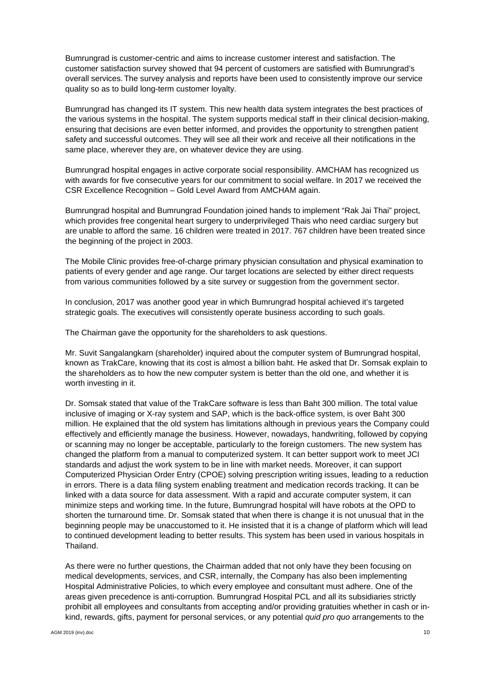Bumrungrad is customer-centric and aims to increase customer interest and satisfaction. The customer satisfaction survey showed that 94 percent of customers are satisfied with Bumrungrad's overall services. The survey analysis and reports have been used to consistently improve our service quality so as to build long-term customer loyalty.

Bumrungrad has changed its IT system. This new health data system integrates the best practices of the various systems in the hospital. The system supports medical staff in their clinical decision-making, ensuring that decisions are even better informed, and provides the opportunity to strengthen patient safety and successful outcomes. They will see all their work and receive all their notifications in the same place, wherever they are, on whatever device they are using.

Bumrungrad hospital engages in active corporate social responsibility. AMCHAM has recognized us with awards for five consecutive years for our commitment to social welfare. In 2017 we received the CSR Excellence Recognition – Gold Level Award from AMCHAM again.

Bumrungrad hospital and Bumrungrad Foundation joined hands to implement "Rak Jai Thai" project, which provides free congenital heart surgery to underprivileged Thais who need cardiac surgery but are unable to afford the same. 16 children were treated in 2017. 767 children have been treated since the beginning of the project in 2003.

The Mobile Clinic provides free-of-charge primary physician consultation and physical examination to patients of every gender and age range. Our target locations are selected by either direct requests from various communities followed by a site survey or suggestion from the government sector.

In conclusion, 2017 was another good year in which Bumrungrad hospital achieved it's targeted strategic goals. The executives will consistently operate business according to such goals.

The Chairman gave the opportunity for the shareholders to ask questions.

Mr. Suvit Sangalangkarn (shareholder) inquired about the computer system of Bumrungrad hospital, known as TrakCare, knowing that its cost is almost a billion baht. He asked that Dr. Somsak explain to the shareholders as to how the new computer system is better than the old one, and whether it is worth investing in it.

Dr. Somsak stated that value of the TrakCare software is less than Baht 300 million. The total value inclusive of imaging or X-ray system and SAP, which is the back-office system, is over Baht 300 million. He explained that the old system has limitations although in previous years the Company could effectively and efficiently manage the business. However, nowadays, handwriting, followed by copying or scanning may no longer be acceptable, particularly to the foreign customers. The new system has changed the platform from a manual to computerized system. It can better support work to meet JCI standards and adjust the work system to be in line with market needs. Moreover, it can support Computerized Physician Order Entry (CPOE) solving prescription writing issues, leading to a reduction in errors. There is a data filing system enabling treatment and medication records tracking. It can be linked with a data source for data assessment. With a rapid and accurate computer system, it can minimize steps and working time. In the future, Bumrungrad hospital will have robots at the OPD to shorten the turnaround time. Dr. Somsak stated that when there is change it is not unusual that in the beginning people may be unaccustomed to it. He insisted that it is a change of platform which will lead to continued development leading to better results. This system has been used in various hospitals in Thailand.

As there were no further questions, the Chairman added that not only have they been focusing on medical developments, services, and CSR, internally, the Company has also been implementing Hospital Administrative Policies, to which every employee and consultant must adhere. One of the areas given precedence is anti-corruption. Bumrungrad Hospital PCL and all its subsidiaries strictly prohibit all employees and consultants from accepting and/or providing gratuities whether in cash or inkind, rewards, gifts, payment for personal services, or any potential *quid pro quo* arrangements to the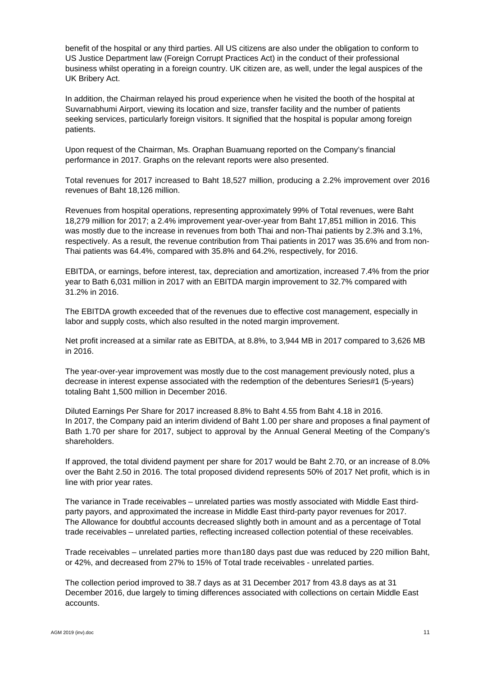benefit of the hospital or any third parties. All US citizens are also under the obligation to conform to US Justice Department law (Foreign Corrupt Practices Act) in the conduct of their professional business whilst operating in a foreign country. UK citizen are, as well, under the legal auspices of the UK Bribery Act.

In addition, the Chairman relayed his proud experience when he visited the booth of the hospital at Suvarnabhumi Airport, viewing its location and size, transfer facility and the number of patients seeking services, particularly foreign visitors. It signified that the hospital is popular among foreign patients.

Upon request of the Chairman, Ms. Oraphan Buamuang reported on the Company's financial performance in 2017. Graphs on the relevant reports were also presented.

Total revenues for 2017 increased to Baht 18,527 million, producing a 2.2% improvement over 2016 revenues of Baht 18,126 million.

Revenues from hospital operations, representing approximately 99% of Total revenues, were Baht 18,279 million for 2017; a 2.4% improvement year-over-year from Baht 17,851 million in 2016. This was mostly due to the increase in revenues from both Thai and non-Thai patients by 2.3% and 3.1%, respectively. As a result, the revenue contribution from Thai patients in 2017 was 35.6% and from non-Thai patients was 64.4%, compared with 35.8% and 64.2%, respectively, for 2016.

EBITDA, or earnings, before interest, tax, depreciation and amortization, increased 7.4% from the prior year to Bath 6,031 million in 2017 with an EBITDA margin improvement to 32.7% compared with 31.2% in 2016.

The EBITDA growth exceeded that of the revenues due to effective cost management, especially in labor and supply costs, which also resulted in the noted margin improvement.

Net profit increased at a similar rate as EBITDA, at 8.8%, to 3,944 MB in 2017 compared to 3,626 MB in 2016.

The year-over-year improvement was mostly due to the cost management previously noted, plus a decrease in interest expense associated with the redemption of the debentures Series#1 (5-years) totaling Baht 1,500 million in December 2016.

Diluted Earnings Per Share for 2017 increased 8.8% to Baht 4.55 from Baht 4.18 in 2016. In 2017, the Company paid an interim dividend of Baht 1.00 per share and proposes a final payment of Bath 1.70 per share for 2017, subject to approval by the Annual General Meeting of the Company's shareholders.

If approved, the total dividend payment per share for 2017 would be Baht 2.70, or an increase of 8.0% over the Baht 2.50 in 2016. The total proposed dividend represents 50% of 2017 Net profit, which is in line with prior year rates.

The variance in Trade receivables – unrelated parties was mostly associated with Middle East thirdparty payors, and approximated the increase in Middle East third-party payor revenues for 2017. The Allowance for doubtful accounts decreased slightly both in amount and as a percentage of Total trade receivables – unrelated parties, reflecting increased collection potential of these receivables.

Trade receivables – unrelated parties more than180 days past due was reduced by 220 million Baht, or 42%, and decreased from 27% to 15% of Total trade receivables - unrelated parties.

The collection period improved to 38.7 days as at 31 December 2017 from 43.8 days as at 31 December 2016, due largely to timing differences associated with collections on certain Middle East accounts.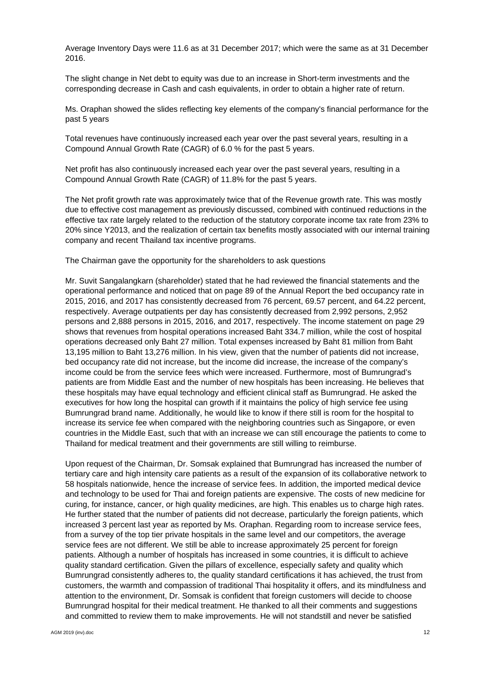Average Inventory Days were 11.6 as at 31 December 2017; which were the same as at 31 December 2016.

The slight change in Net debt to equity was due to an increase in Short-term investments and the corresponding decrease in Cash and cash equivalents, in order to obtain a higher rate of return.

Ms. Oraphan showed the slides reflecting key elements of the company's financial performance for the past 5 years

Total revenues have continuously increased each year over the past several years, resulting in a Compound Annual Growth Rate (CAGR) of 6.0 % for the past 5 years.

Net profit has also continuously increased each year over the past several years, resulting in a Compound Annual Growth Rate (CAGR) of 11.8% for the past 5 years.

The Net profit growth rate was approximately twice that of the Revenue growth rate. This was mostly due to effective cost management as previously discussed, combined with continued reductions in the effective tax rate largely related to the reduction of the statutory corporate income tax rate from 23% to 20% since Y2013, and the realization of certain tax benefits mostly associated with our internal training company and recent Thailand tax incentive programs.

The Chairman gave the opportunity for the shareholders to ask questions

Mr. Suvit Sangalangkarn (shareholder) stated that he had reviewed the financial statements and the operational performance and noticed that on page 89 of the Annual Report the bed occupancy rate in 2015, 2016, and 2017 has consistently decreased from 76 percent, 69.57 percent, and 64.22 percent, respectively. Average outpatients per day has consistently decreased from 2,992 persons, 2,952 persons and 2,888 persons in 2015, 2016, and 2017, respectively. The income statement on page 29 shows that revenues from hospital operations increased Baht 334.7 million, while the cost of hospital operations decreased only Baht 27 million. Total expenses increased by Baht 81 million from Baht 13,195 million to Baht 13,276 million. In his view, given that the number of patients did not increase, bed occupancy rate did not increase, but the income did increase, the increase of the company's income could be from the service fees which were increased. Furthermore, most of Bumrungrad's patients are from Middle East and the number of new hospitals has been increasing. He believes that these hospitals may have equal technology and efficient clinical staff as Bumrungrad. He asked the executives for how long the hospital can growth if it maintains the policy of high service fee using Bumrungrad brand name. Additionally, he would like to know if there still is room for the hospital to increase its service fee when compared with the neighboring countries such as Singapore, or even countries in the Middle East, such that with an increase we can still encourage the patients to come to Thailand for medical treatment and their governments are still willing to reimburse.

Upon request of the Chairman, Dr. Somsak explained that Bumrungrad has increased the number of tertiary care and high intensity care patients as a result of the expansion of its collaborative network to 58 hospitals nationwide, hence the increase of service fees. In addition, the imported medical device and technology to be used for Thai and foreign patients are expensive. The costs of new medicine for curing, for instance, cancer, or high quality medicines, are high. This enables us to charge high rates. He further stated that the number of patients did not decrease, particularly the foreign patients, which increased 3 percent last year as reported by Ms. Oraphan. Regarding room to increase service fees, from a survey of the top tier private hospitals in the same level and our competitors, the average service fees are not different. We still be able to increase approximately 25 percent for foreign patients. Although a number of hospitals has increased in some countries, it is difficult to achieve quality standard certification. Given the pillars of excellence, especially safety and quality which Bumrungrad consistently adheres to, the quality standard certifications it has achieved, the trust from customers, the warmth and compassion of traditional Thai hospitality it offers, and its mindfulness and attention to the environment, Dr. Somsak is confident that foreign customers will decide to choose Bumrungrad hospital for their medical treatment. He thanked to all their comments and suggestions and committed to review them to make improvements. He will not standstill and never be satisfied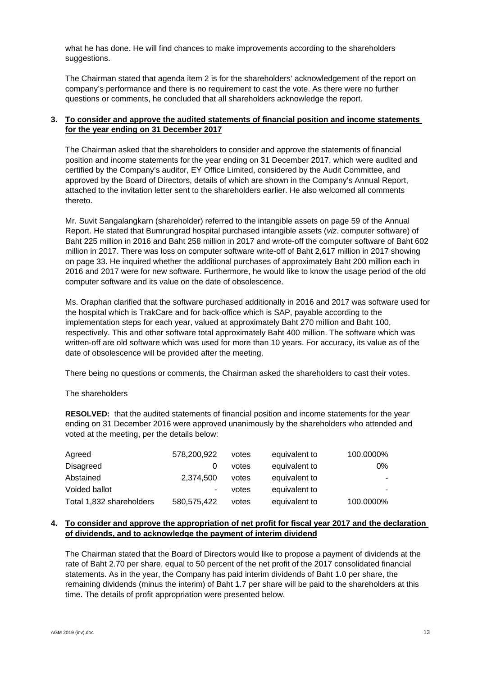what he has done. He will find chances to make improvements according to the shareholders suggestions.

The Chairman stated that agenda item 2 is for the shareholders' acknowledgement of the report on company's performance and there is no requirement to cast the vote. As there were no further questions or comments, he concluded that all shareholders acknowledge the report.

# **3. To consider and approve the audited statements of financial position and income statements for the year ending on 31 December 2017**

The Chairman asked that the shareholders to consider and approve the statements of financial position and income statements for the year ending on 31 December 2017, which were audited and certified by the Company's auditor, EY Office Limited, considered by the Audit Committee, and approved by the Board of Directors, details of which are shown in the Company's Annual Report, attached to the invitation letter sent to the shareholders earlier. He also welcomed all comments thereto.

Mr. Suvit Sangalangkarn (shareholder) referred to the intangible assets on page 59 of the Annual Report. He stated that Bumrungrad hospital purchased intangible assets (*viz.* computer software) of Baht 225 million in 2016 and Baht 258 million in 2017 and wrote-off the computer software of Baht 602 million in 2017. There was loss on computer software write-off of Baht 2,617 million in 2017 showing on page 33. He inquired whether the additional purchases of approximately Baht 200 million each in 2016 and 2017 were for new software. Furthermore, he would like to know the usage period of the old computer software and its value on the date of obsolescence.

Ms. Oraphan clarified that the software purchased additionally in 2016 and 2017 was software used for the hospital which is TrakCare and for back-office which is SAP, payable according to the implementation steps for each year, valued at approximately Baht 270 million and Baht 100, respectively. This and other software total approximately Baht 400 million. The software which was written-off are old software which was used for more than 10 years. For accuracy, its value as of the date of obsolescence will be provided after the meeting.

There being no questions or comments, the Chairman asked the shareholders to cast their votes.

## The shareholders

**RESOLVED:** that the audited statements of financial position and income statements for the year ending on 31 December 2016 were approved unanimously by the shareholders who attended and voted at the meeting, per the details below:

| Agreed                   | 578,200,922 | votes | equivalent to | 100.0000% |
|--------------------------|-------------|-------|---------------|-----------|
| <b>Disagreed</b>         |             | votes | equivalent to | 0%        |
| Abstained                | 2,374,500   | votes | equivalent to |           |
| Voided ballot            | ۰           | votes | equivalent to |           |
| Total 1,832 shareholders | 580,575,422 | votes | equivalent to | 100.0000% |

## **4. To consider and approve the appropriation of net profit for fiscal year 2017 and the declaration of dividends, and to acknowledge the payment of interim dividend**

The Chairman stated that the Board of Directors would like to propose a payment of dividends at the rate of Baht 2.70 per share, equal to 50 percent of the net profit of the 2017 consolidated financial statements. As in the year, the Company has paid interim dividends of Baht 1.0 per share, the remaining dividends (minus the interim) of Baht 1.7 per share will be paid to the shareholders at this time. The details of profit appropriation were presented below.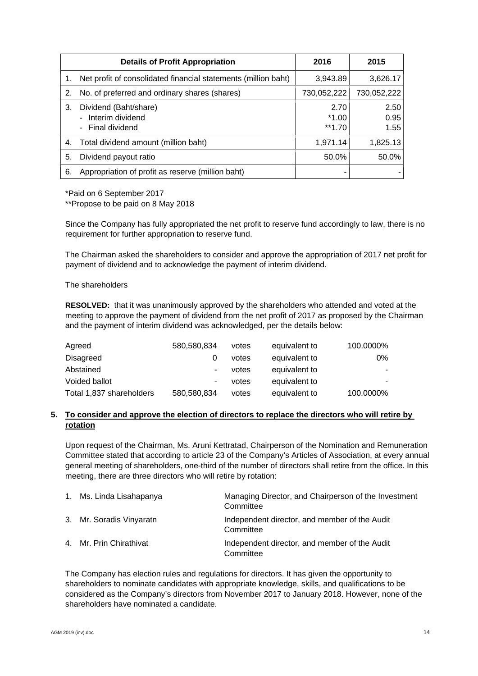|    | <b>Details of Profit Appropriation</b>                          | 2016                       | 2015                 |
|----|-----------------------------------------------------------------|----------------------------|----------------------|
| 1. | Net profit of consolidated financial statements (million baht)  | 3,943.89                   | 3,626.17             |
| 2. | No. of preferred and ordinary shares (shares)                   | 730,052,222                | 730,052,222          |
| 3. | Dividend (Baht/share)<br>- Interim dividend<br>- Final dividend | 2.70<br>$*1.00$<br>$*1.70$ | 2.50<br>0.95<br>1.55 |
| 4. | Total dividend amount (million baht)                            | 1,971.14                   | 1,825.13             |
| 5. | Dividend payout ratio                                           | 50.0%                      | 50.0%                |
| 6. | Appropriation of profit as reserve (million baht)               | ۰                          |                      |

\*Paid on 6 September 2017

\*\*Propose to be paid on 8 May 2018

Since the Company has fully appropriated the net profit to reserve fund accordingly to law, there is no requirement for further appropriation to reserve fund.

The Chairman asked the shareholders to consider and approve the appropriation of 2017 net profit for payment of dividend and to acknowledge the payment of interim dividend.

The shareholders

**RESOLVED:** that it was unanimously approved by the shareholders who attended and voted at the meeting to approve the payment of dividend from the net profit of 2017 as proposed by the Chairman and the payment of interim dividend was acknowledged, per the details below:

| Agreed                   | 580,580,834 | votes | equivalent to | 100.0000% |
|--------------------------|-------------|-------|---------------|-----------|
| Disagreed                | O           | votes | equivalent to | 0%        |
| Abstained                | ۰           | votes | equivalent to | ۰.        |
| Voided ballot            | ٠           | votes | equivalent to |           |
| Total 1,837 shareholders | 580,580,834 | votes | equivalent to | 100.0000% |

## **5. To consider and approve the election of directors to replace the directors who will retire by rotation**

Upon request of the Chairman, Ms. Aruni Kettratad, Chairperson of the Nomination and Remuneration Committee stated that according to article 23 of the Company's Articles of Association, at every annual general meeting of shareholders, one-third of the number of directors shall retire from the office. In this meeting, there are three directors who will retire by rotation:

| 1. Ms. Linda Lisahapanya | Managing Director, and Chairperson of the Investment<br>Committee |
|--------------------------|-------------------------------------------------------------------|
| 3. Mr. Soradis Vinyaratn | Independent director, and member of the Audit<br>Committee        |
| 4. Mr. Prin Chirathivat  | Independent director, and member of the Audit<br>Committee        |

The Company has election rules and regulations for directors. It has given the opportunity to shareholders to nominate candidates with appropriate knowledge, skills, and qualifications to be considered as the Company's directors from November 2017 to January 2018. However, none of the shareholders have nominated a candidate.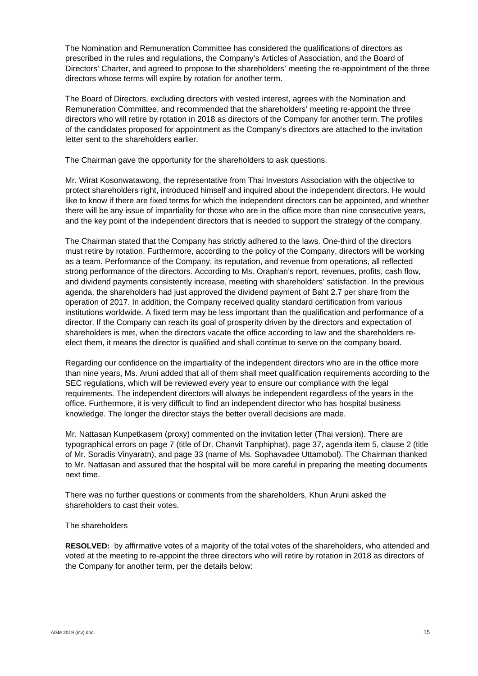The Nomination and Remuneration Committee has considered the qualifications of directors as prescribed in the rules and regulations, the Company's Articles of Association, and the Board of Directors' Charter, and agreed to propose to the shareholders' meeting the re-appointment of the three directors whose terms will expire by rotation for another term.

The Board of Directors, excluding directors with vested interest, agrees with the Nomination and Remuneration Committee, and recommended that the shareholders' meeting re-appoint the three directors who will retire by rotation in 2018 as directors of the Company for another term. The profiles of the candidates proposed for appointment as the Company's directors are attached to the invitation letter sent to the shareholders earlier.

The Chairman gave the opportunity for the shareholders to ask questions.

Mr. Wirat Kosonwatawong, the representative from Thai Investors Association with the objective to protect shareholders right, introduced himself and inquired about the independent directors. He would like to know if there are fixed terms for which the independent directors can be appointed, and whether there will be any issue of impartiality for those who are in the office more than nine consecutive years, and the key point of the independent directors that is needed to support the strategy of the company.

The Chairman stated that the Company has strictly adhered to the laws. One-third of the directors must retire by rotation. Furthermore, according to the policy of the Company, directors will be working as a team. Performance of the Company, its reputation, and revenue from operations, all reflected strong performance of the directors. According to Ms. Oraphan's report, revenues, profits, cash flow, and dividend payments consistently increase, meeting with shareholders' satisfaction. In the previous agenda, the shareholders had just approved the dividend payment of Baht 2.7 per share from the operation of 2017. In addition, the Company received quality standard certification from various institutions worldwide. A fixed term may be less important than the qualification and performance of a director. If the Company can reach its goal of prosperity driven by the directors and expectation of shareholders is met, when the directors vacate the office according to law and the shareholders reelect them, it means the director is qualified and shall continue to serve on the company board.

Regarding our confidence on the impartiality of the independent directors who are in the office more than nine years, Ms. Aruni added that all of them shall meet qualification requirements according to the SEC regulations, which will be reviewed every year to ensure our compliance with the legal requirements. The independent directors will always be independent regardless of the years in the office. Furthermore, it is very difficult to find an independent director who has hospital business knowledge. The longer the director stays the better overall decisions are made.

Mr. Nattasan Kunpetkasem (proxy) commented on the invitation letter (Thai version). There are typographical errors on page 7 (title of Dr. Chanvit Tanphiphat), page 37, agenda item 5, clause 2 (title of Mr. Soradis Vinyaratn), and page 33 (name of Ms. Sophavadee Uttamobol). The Chairman thanked to Mr. Nattasan and assured that the hospital will be more careful in preparing the meeting documents next time.

There was no further questions or comments from the shareholders, Khun Aruni asked the shareholders to cast their votes.

#### The shareholders

**RESOLVED:** by affirmative votes of a majority of the total votes of the shareholders, who attended and voted at the meeting to re-appoint the three directors who will retire by rotation in 2018 as directors of the Company for another term, per the details below: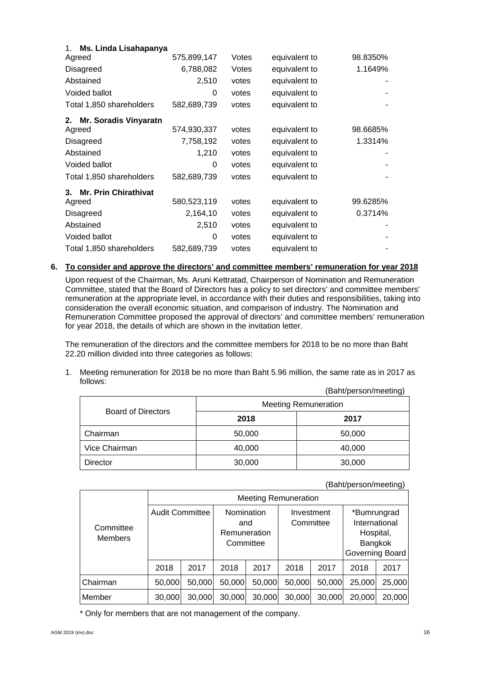| Ms. Linda Lisahapanya<br>1.        |             |       |               |          |
|------------------------------------|-------------|-------|---------------|----------|
| Agreed                             | 575,899,147 | Votes | equivalent to | 98.8350% |
| <b>Disagreed</b>                   | 6,788,082   | Votes | equivalent to | 1.1649%  |
| Abstained                          | 2,510       | votes | equivalent to |          |
| Voided ballot                      | 0           | votes | equivalent to |          |
| Total 1,850 shareholders           | 582,689,739 | votes | equivalent to |          |
| 2.<br><b>Mr. Soradis Vinyaratn</b> |             |       |               |          |
| Agreed                             | 574,930,337 | votes | equivalent to | 98.6685% |
| <b>Disagreed</b>                   | 7,758,192   | votes | equivalent to | 1.3314%  |
| Abstained                          | 1,210       | votes | equivalent to |          |
| Voided ballot                      | 0           | votes | equivalent to |          |
| Total 1,850 shareholders           | 582,689,739 | votes | equivalent to |          |
| <b>Mr. Prin Chirathivat</b><br>3.  |             |       |               |          |
| Agreed                             | 580,523,119 | votes | equivalent to | 99.6285% |
| <b>Disagreed</b>                   | 2,164,10    | votes | equivalent to | 0.3714%  |
| Abstained                          | 2,510       | votes | equivalent to |          |
| Voided ballot                      | 0           | votes | equivalent to |          |
| Total 1,850 shareholders           | 582,689,739 | votes | equivalent to |          |

### **6. To consider and approve the directors' and committee members' remuneration for year 2018**

Upon request of the Chairman, Ms. Aruni Kettratad, Chairperson of Nomination and Remuneration Committee, stated that the Board of Directors has a policy to set directors' and committee members' remuneration at the appropriate level, in accordance with their duties and responsibilities, taking into consideration the overall economic situation, and comparison of industry. The Nomination and Remuneration Committee proposed the approval of directors' and committee members' remuneration for year 2018, the details of which are shown in the invitation letter.

The remuneration of the directors and the committee members for 2018 to be no more than Baht 22.20 million divided into three categories as follows:

1. Meeting remuneration for 2018 be no more than Baht 5.96 million, the same rate as in 2017 as follows: (Baht/person/meeting)

| ו שהסטוויונט וסעווען איז  |                             |        |  |  |
|---------------------------|-----------------------------|--------|--|--|
|                           | <b>Meeting Remuneration</b> |        |  |  |
| <b>Board of Directors</b> | 2018                        | 2017   |  |  |
| Chairman                  | 50,000                      | 50,000 |  |  |
| Vice Chairman             | 40,000                      | 40,000 |  |  |
| Director                  | 30,000                      | 30,000 |  |  |

#### (Baht/person/meeting)

|                             | <b>Meeting Remuneration</b> |        |                                                |        |                         |        |                                                                         |        |
|-----------------------------|-----------------------------|--------|------------------------------------------------|--------|-------------------------|--------|-------------------------------------------------------------------------|--------|
| Committee<br><b>Members</b> | <b>Audit Committee</b>      |        | Nomination<br>and<br>Remuneration<br>Committee |        | Investment<br>Committee |        | *Bumrungrad<br>International<br>Hospital,<br>Bangkok<br>Governing Board |        |
|                             | 2018                        | 2017   | 2018                                           | 2017   | 2018                    | 2017   | 2018                                                                    | 2017   |
| Chairman                    | 50,000                      | 50,000 | 50,000                                         | 50,000 | 50,000                  | 50,000 | 25,000                                                                  | 25,000 |
| Member                      | 30,000                      | 30,000 | 30,000                                         | 30,000 | 30,000                  | 30,000 | 20,000                                                                  | 20,000 |

\* Only for members that are not management of the company.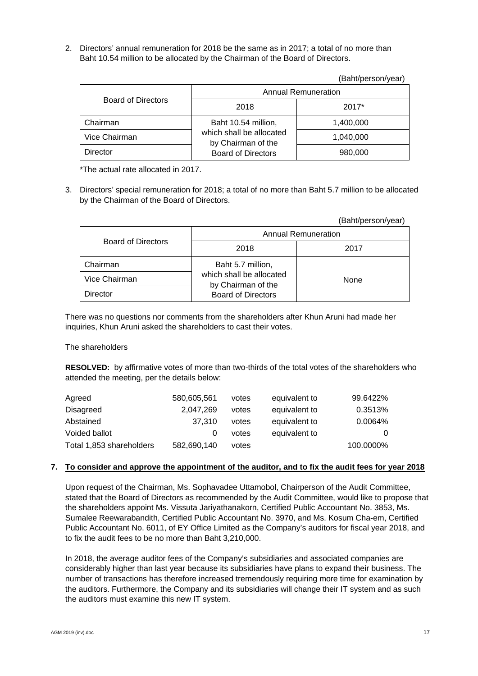2. Directors' annual remuneration for 2018 be the same as in 2017; a total of no more than Baht 10.54 million to be allocated by the Chairman of the Board of Directors.

(Baht/person/year)

|                           |                                                | Daliy yel Suliyedi j |  |  |
|---------------------------|------------------------------------------------|----------------------|--|--|
|                           | <b>Annual Remuneration</b>                     |                      |  |  |
| <b>Board of Directors</b> | 2018                                           | $2017*$              |  |  |
| Chairman                  | Baht 10.54 million,                            | 1,400,000            |  |  |
| Vice Chairman             | which shall be allocated<br>by Chairman of the | 1,040,000            |  |  |
| Director                  | <b>Board of Directors</b>                      | 980,000              |  |  |

\*The actual rate allocated in 2017.

3. Directors' special remuneration for 2018; a total of no more than Baht 5.7 million to be allocated by the Chairman of the Board of Directors.

|                           |                                                | (Baht/person/year) |  |  |
|---------------------------|------------------------------------------------|--------------------|--|--|
|                           | <b>Annual Remuneration</b>                     |                    |  |  |
| <b>Board of Directors</b> | 2018                                           | 2017               |  |  |
| Chairman                  | Baht 5.7 million,                              |                    |  |  |
| Vice Chairman             | which shall be allocated<br>by Chairman of the | None               |  |  |
| Director                  | <b>Board of Directors</b>                      |                    |  |  |

There was no questions nor comments from the shareholders after Khun Aruni had made her inquiries, Khun Aruni asked the shareholders to cast their votes.

The shareholders

**RESOLVED:** by affirmative votes of more than two-thirds of the total votes of the shareholders who attended the meeting, per the details below:

| Agreed                   | 580,605,561 | votes | equivalent to | 99.6422%  |
|--------------------------|-------------|-------|---------------|-----------|
| Disagreed                | 2.047.269   | votes | equivalent to | 0.3513%   |
| Abstained                | 37.310      | votes | equivalent to | 0.0064%   |
| Voided ballot            |             | votes | equivalent to | 0         |
| Total 1,853 shareholders | 582,690,140 | votes |               | 100.0000% |

## **7. To consider and approve the appointment of the auditor, and to fix the audit fees for year 2018**

Upon request of the Chairman, Ms. Sophavadee Uttamobol, Chairperson of the Audit Committee, stated that the Board of Directors as recommended by the Audit Committee, would like to propose that the shareholders appoint Ms. Vissuta Jariyathanakorn, Certified Public Accountant No. 3853, Ms. Sumalee Reewarabandith, Certified Public Accountant No. 3970, and Ms. Kosum Cha-em, Certified Public Accountant No. 6011, of EY Office Limited as the Company's auditors for fiscal year 2018, and to fix the audit fees to be no more than Baht 3,210,000.

In 2018, the average auditor fees of the Company's subsidiaries and associated companies are considerably higher than last year because its subsidiaries have plans to expand their business. The number of transactions has therefore increased tremendously requiring more time for examination by the auditors. Furthermore, the Company and its subsidiaries will change their IT system and as such the auditors must examine this new IT system.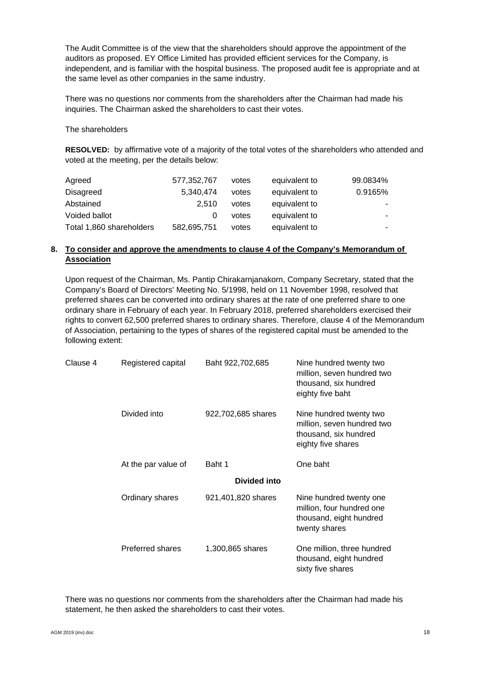The Audit Committee is of the view that the shareholders should approve the appointment of the auditors as proposed. EY Office Limited has provided efficient services for the Company, is independent, and is familiar with the hospital business. The proposed audit fee is appropriate and at the same level as other companies in the same industry.

There was no questions nor comments from the shareholders after the Chairman had made his inquiries. The Chairman asked the shareholders to cast their votes.

The shareholders

**RESOLVED:** by affirmative vote of a majority of the total votes of the shareholders who attended and voted at the meeting, per the details below:

| Agreed                   | 577,352,767 | votes | equivalent to | 99.0834% |
|--------------------------|-------------|-------|---------------|----------|
| <b>Disagreed</b>         | 5.340.474   | votes | equivalent to | 0.9165%  |
| Abstained                | 2.510       | votes | equivalent to |          |
| Voided ballot            |             | votes | equivalent to |          |
| Total 1,860 shareholders | 582,695,751 | votes | equivalent to |          |

# **8. To consider and approve the amendments to clause 4 of the Company's Memorandum of Association**

Upon request of the Chairman, Ms. Pantip Chirakarnjanakorn, Company Secretary, stated that the Company's Board of Directors' Meeting No. 5/1998, held on 11 November 1998, resolved that preferred shares can be converted into ordinary shares at the rate of one preferred share to one ordinary share in February of each year. In February 2018, preferred shareholders exercised their rights to convert 62,500 preferred shares to ordinary shares. Therefore, clause 4 of the Memorandum of Association, pertaining to the types of shares of the registered capital must be amended to the following extent:

| Clause 4 | Registered capital  | Baht 922,702,685   | Nine hundred twenty two<br>million, seven hundred two<br>thousand, six hundred<br>eighty five baht   |  |  |  |  |  |
|----------|---------------------|--------------------|------------------------------------------------------------------------------------------------------|--|--|--|--|--|
|          | Divided into        | 922,702,685 shares | Nine hundred twenty two<br>million, seven hundred two<br>thousand, six hundred<br>eighty five shares |  |  |  |  |  |
|          | At the par value of | Baht 1             | One baht                                                                                             |  |  |  |  |  |
|          |                     | Divided into       |                                                                                                      |  |  |  |  |  |
|          | Ordinary shares     | 921,401,820 shares | Nine hundred twenty one<br>million, four hundred one<br>thousand, eight hundred<br>twenty shares     |  |  |  |  |  |
|          | Preferred shares    | 1,300,865 shares   | One million, three hundred<br>thousand, eight hundred<br>sixty five shares                           |  |  |  |  |  |

There was no questions nor comments from the shareholders after the Chairman had made his statement, he then asked the shareholders to cast their votes.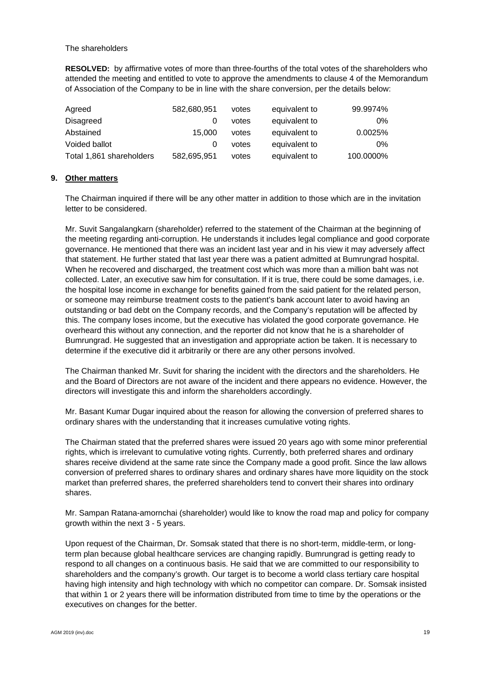The shareholders

**RESOLVED:** by affirmative votes of more than three-fourths of the total votes of the shareholders who attended the meeting and entitled to vote to approve the amendments to clause 4 of the Memorandum of Association of the Company to be in line with the share conversion, per the details below:

| Agreed                   | 582,680,951 | votes | equivalent to | 99.9974%  |
|--------------------------|-------------|-------|---------------|-----------|
| <b>Disagreed</b>         |             | votes | equivalent to | 0%        |
| Abstained                | 15.000      | votes | equivalent to | 0.0025%   |
| Voided ballot            |             | votes | equivalent to | $0\%$     |
| Total 1,861 shareholders | 582,695,951 | votes | equivalent to | 100.0000% |

## **9. Other matters**

The Chairman inquired if there will be any other matter in addition to those which are in the invitation letter to be considered.

Mr. Suvit Sangalangkarn (shareholder) referred to the statement of the Chairman at the beginning of the meeting regarding anti-corruption. He understands it includes legal compliance and good corporate governance. He mentioned that there was an incident last year and in his view it may adversely affect that statement. He further stated that last year there was a patient admitted at Bumrungrad hospital. When he recovered and discharged, the treatment cost which was more than a million baht was not collected. Later, an executive saw him for consultation. If it is true, there could be some damages, i.e. the hospital lose income in exchange for benefits gained from the said patient for the related person, or someone may reimburse treatment costs to the patient's bank account later to avoid having an outstanding or bad debt on the Company records, and the Company's reputation will be affected by this. The company loses income, but the executive has violated the good corporate governance. He overheard this without any connection, and the reporter did not know that he is a shareholder of Bumrungrad. He suggested that an investigation and appropriate action be taken. It is necessary to determine if the executive did it arbitrarily or there are any other persons involved.

The Chairman thanked Mr. Suvit for sharing the incident with the directors and the shareholders. He and the Board of Directors are not aware of the incident and there appears no evidence. However, the directors will investigate this and inform the shareholders accordingly.

Mr. Basant Kumar Dugar inquired about the reason for allowing the conversion of preferred shares to ordinary shares with the understanding that it increases cumulative voting rights.

The Chairman stated that the preferred shares were issued 20 years ago with some minor preferential rights, which is irrelevant to cumulative voting rights. Currently, both preferred shares and ordinary shares receive dividend at the same rate since the Company made a good profit. Since the law allows conversion of preferred shares to ordinary shares and ordinary shares have more liquidity on the stock market than preferred shares, the preferred shareholders tend to convert their shares into ordinary shares.

Mr. Sampan Ratana-amornchai (shareholder) would like to know the road map and policy for company growth within the next 3 - 5 years.

Upon request of the Chairman, Dr. Somsak stated that there is no short-term, middle-term, or longterm plan because global healthcare services are changing rapidly. Bumrungrad is getting ready to respond to all changes on a continuous basis. He said that we are committed to our responsibility to shareholders and the company's growth. Our target is to become a world class tertiary care hospital having high intensity and high technology with which no competitor can compare. Dr. Somsak insisted that within 1 or 2 years there will be information distributed from time to time by the operations or the executives on changes for the better.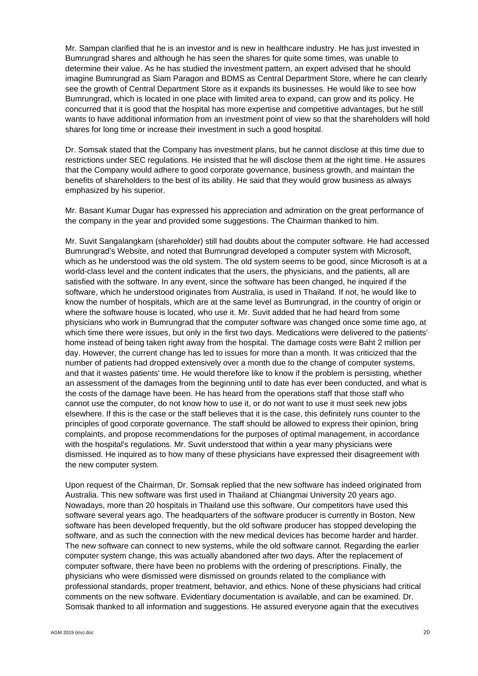Mr. Sampan clarified that he is an investor and is new in healthcare industry. He has just invested in Bumrungrad shares and although he has seen the shares for quite some times, was unable to determine their value. As he has studied the investment pattern, an expert advised that he should imagine Bumrungrad as Siam Paragon and BDMS as Central Department Store, where he can clearly see the growth of Central Department Store as it expands its businesses. He would like to see how Bumrungrad, which is located in one place with limited area to expand, can grow and its policy. He concurred that it is good that the hospital has more expertise and competitive advantages, but he still wants to have additional information from an investment point of view so that the shareholders will hold shares for long time or increase their investment in such a good hospital.

Dr. Somsak stated that the Company has investment plans, but he cannot disclose at this time due to restrictions under SEC regulations. He insisted that he will disclose them at the right time. He assures that the Company would adhere to good corporate governance, business growth, and maintain the benefits of shareholders to the best of its ability. He said that they would grow business as always emphasized by his superior.

Mr. Basant Kumar Dugar has expressed his appreciation and admiration on the great performance of the company in the year and provided some suggestions. The Chairman thanked to him.

Mr. Suvit Sangalangkarn (shareholder) still had doubts about the computer software. He had accessed Bumrungrad's Website, and noted that Bumrungrad developed a computer system with Microsoft, which as he understood was the old system. The old system seems to be good, since Microsoft is at a world-class level and the content indicates that the users, the physicians, and the patients, all are satisfied with the software. In any event, since the software has been changed, he inquired if the software, which he understood originates from Australia, is used in Thailand. If not, he would like to know the number of hospitals, which are at the same level as Bumrungrad, in the country of origin or where the software house is located, who use it. Mr. Suvit added that he had heard from some physicians who work in Bumrungrad that the computer software was changed once some time ago, at which time there were issues, but only in the first two days. Medications were delivered to the patients' home instead of being taken right away from the hospital. The damage costs were Baht 2 million per day. However, the current change has led to issues for more than a month. It was criticized that the number of patients had dropped extensively over a month due to the change of computer systems, and that it wastes patients' time. He would therefore like to know if the problem is persisting, whether an assessment of the damages from the beginning until to date has ever been conducted, and what is the costs of the damage have been. He has heard from the operations staff that those staff who cannot use the computer, do not know how to use it, or do not want to use it must seek new jobs elsewhere. If this is the case or the staff believes that it is the case, this definitely runs counter to the principles of good corporate governance. The staff should be allowed to express their opinion, bring complaints, and propose recommendations for the purposes of optimal management, in accordance with the hospital's regulations. Mr. Suvit understood that within a year many physicians were dismissed. He inquired as to how many of these physicians have expressed their disagreement with the new computer system.

Upon request of the Chairman, Dr. Somsak replied that the new software has indeed originated from Australia. This new software was first used in Thailand at Chiangmai University 20 years ago. Nowadays, more than 20 hospitals in Thailand use this software. Our competitors have used this software several years ago. The headquarters of the software producer is currently in Boston. New software has been developed frequently, but the old software producer has stopped developing the software, and as such the connection with the new medical devices has become harder and harder. The new software can connect to new systems, while the old software cannot. Regarding the earlier computer system change, this was actually abandoned after two days. After the replacement of computer software, there have been no problems with the ordering of prescriptions. Finally, the physicians who were dismissed were dismissed on grounds related to the compliance with professional standards, proper treatment, behavior, and ethics. None of these physicians had critical comments on the new software. Evidentiary documentation is available, and can be examined. Dr. Somsak thanked to all information and suggestions. He assured everyone again that the executives